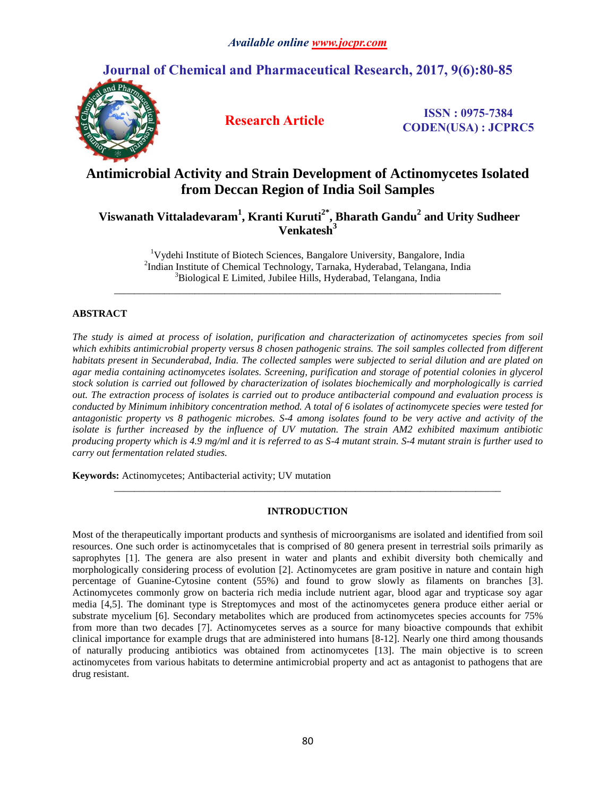# **Journal of Chemical and Pharmaceutical Research, 2017, 9(6):80-85**



**Research Article ISSN : 0975-7384 CODEN(USA) : JCPRC5**

# **Antimicrobial Activity and Strain Development of Actinomycetes Isolated from Deccan Region of India Soil Samples**

**Viswanath Vittaladevaram<sup>1</sup> , Kranti Kuruti2\* , Bharath Gandu<sup>2</sup> and Urity Sudheer Venkatesh<sup>3</sup>**

> <sup>1</sup>Vydehi Institute of Biotech Sciences, Bangalore University, Bangalore, India 2 Indian Institute of Chemical Technology, Tarnaka, Hyderabad, Telangana, India <sup>3</sup>Biological E Limited, Jubilee Hills, Hyderabad, Telangana, India

*\_\_\_\_\_\_\_\_\_\_\_\_\_\_\_\_\_\_\_\_\_\_\_\_\_\_\_\_\_\_\_\_\_\_\_\_\_\_\_\_\_\_\_\_\_\_\_\_\_\_\_\_\_\_\_\_\_\_\_\_\_\_\_\_\_\_\_\_\_\_\_\_\_\_\_\_\_*

# **ABSTRACT**

*The study is aimed at process of isolation, purification and characterization of actinomycetes species from soil which exhibits antimicrobial property versus 8 chosen pathogenic strains. The soil samples collected from different habitats present in Secunderabad, India. The collected samples were subjected to serial dilution and are plated on agar media containing actinomycetes isolates. Screening, purification and storage of potential colonies in glycerol stock solution is carried out followed by characterization of isolates biochemically and morphologically is carried out. The extraction process of isolates is carried out to produce antibacterial compound and evaluation process is conducted by Minimum inhibitory concentration method. A total of 6 isolates of actinomycete species were tested for antagonistic property vs 8 pathogenic microbes. S-4 among isolates found to be very active and activity of the isolate is further increased by the influence of UV mutation. The strain AM2 exhibited maximum antibiotic producing property which is 4.9 mg/ml and it is referred to as S-4 mutant strain. S-4 mutant strain is further used to carry out fermentation related studies.*

**Keywords:** Actinomycetes; Antibacterial activity; UV mutation

# **INTRODUCTION**

*\_\_\_\_\_\_\_\_\_\_\_\_\_\_\_\_\_\_\_\_\_\_\_\_\_\_\_\_\_\_\_\_\_\_\_\_\_\_\_\_\_\_\_\_\_\_\_\_\_\_\_\_\_\_\_\_\_\_\_\_\_\_\_\_\_\_\_\_\_\_\_\_\_\_\_\_\_*

Most of the therapeutically important products and synthesis of microorganisms are isolated and identified from soil resources. One such order is actinomycetales that is comprised of 80 genera present in terrestrial soils primarily as saprophytes [1]. The genera are also present in water and plants and exhibit diversity both chemically and morphologically considering process of evolution [2]. Actinomycetes are gram positive in nature and contain high percentage of Guanine-Cytosine content (55%) and found to grow slowly as filaments on branches [3]. Actinomycetes commonly grow on bacteria rich media include nutrient agar, blood agar and trypticase soy agar media [4,5]. The dominant type is Streptomyces and most of the actinomycetes genera produce either aerial or substrate mycelium [6]. Secondary metabolites which are produced from actinomycetes species accounts for 75% from more than two decades [7]. Actinomycetes serves as a source for many bioactive compounds that exhibit clinical importance for example drugs that are administered into humans [8-12]. Nearly one third among thousands of naturally producing antibiotics was obtained from actinomycetes [13]. The main objective is to screen actinomycetes from various habitats to determine antimicrobial property and act as antagonist to pathogens that are drug resistant.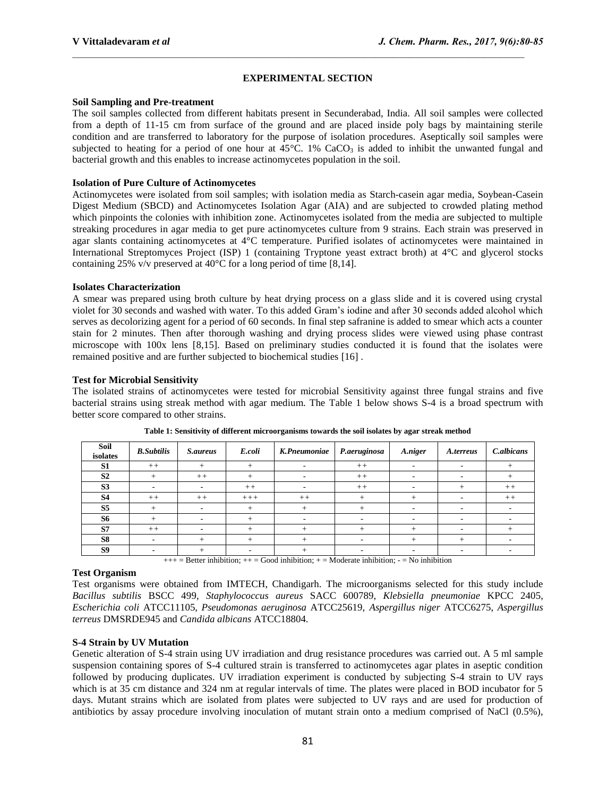# **EXPERIMENTAL SECTION**

# **Soil Sampling and Pre-treatment**

The soil samples collected from different habitats present in Secunderabad, India. All soil samples were collected from a depth of 11-15 cm from surface of the ground and are placed inside poly bags by maintaining sterile condition and are transferred to laboratory for the purpose of isolation procedures. Aseptically soil samples were subjected to heating for a period of one hour at  $45^{\circ}$ C. 1% CaCO<sub>3</sub> is added to inhibit the unwanted fungal and bacterial growth and this enables to increase actinomycetes population in the soil.

# **Isolation of Pure Culture of Actinomycetes**

Actinomycetes were isolated from soil samples; with isolation media as Starch-casein agar media, Soybean-Casein Digest Medium (SBCD) and Actinomycetes Isolation Agar (AIA) and are subjected to crowded plating method which pinpoints the colonies with inhibition zone. Actinomycetes isolated from the media are subjected to multiple streaking procedures in agar media to get pure actinomycetes culture from 9 strains. Each strain was preserved in agar slants containing actinomycetes at 4°C temperature. Purified isolates of actinomycetes were maintained in International Streptomyces Project (ISP) 1 (containing Tryptone yeast extract broth) at 4°C and glycerol stocks containing 25% v/v preserved at 40°C for a long period of time [8,14].

# **Isolates Characterization**

A smear was prepared using broth culture by heat drying process on a glass slide and it is covered using crystal violet for 30 seconds and washed with water. To this added Gram's iodine and after 30 seconds added alcohol which serves as decolorizing agent for a period of 60 seconds. In final step safranine is added to smear which acts a counter stain for 2 minutes. Then after thorough washing and drying process slides were viewed using phase contrast microscope with 100x lens [8,15]. Based on preliminary studies conducted it is found that the isolates were remained positive and are further subjected to biochemical studies [16] .

# **Test for Microbial Sensitivity**

The isolated strains of actinomycetes were tested for microbial Sensitivity against three fungal strains and five bacterial strains using streak method with agar medium. The Table 1 below shows S-4 is a broad spectrum with better score compared to other strains.

| Soil<br>isolates | <b>B.</b> Subtilis | <i>S.aureus</i> | E.coli | K.Pneumoniae | P.aeruginosa | A.niger | A.terreus | C.albicans |
|------------------|--------------------|-----------------|--------|--------------|--------------|---------|-----------|------------|
| S <sub>1</sub>   | $++$               | $^{+}$          | $^{+}$ |              | $++$         |         |           |            |
| S <sub>2</sub>   |                    | $++$            |        |              | $++$         |         |           |            |
| S <sub>3</sub>   |                    |                 | $+ +$  |              | $++$         |         |           | $++$       |
| <b>S4</b>        | $++$               | $++$            | $+++$  | $++$         |              |         |           | $++$       |
| S <sub>5</sub>   |                    |                 |        |              |              |         |           |            |
| <b>S6</b>        |                    |                 |        |              |              |         |           |            |
| S7               | $++$               |                 |        |              |              |         |           |            |
| S8               |                    |                 |        |              | -            |         |           |            |
| <b>S9</b>        |                    |                 |        |              |              |         |           |            |

**Table 1: Sensitivity of different microorganisms towards the soil isolates by agar streak method**

 $+++$  = Better inhibition;  $++$  = Good inhibition;  $+$  = Moderate inhibition;  $-$  = No inhibition

# **Test Organism**

Test organisms were obtained from IMTECH, Chandigarh. The microorganisms selected for this study include *Bacillus subtilis* BSCC 499, *Staphylococcus aureus* SACC 600789, *Klebsiella pneumoniae* KPCC 2405, *[Escherichia coli](https://en.wikipedia.org/wiki/Escherichia_coli)* ATCC11105, *Pseudomonas aeruginosa* ATCC25619, *[Aspergillus niger](http://eol.org/pages/2920814/details)* ATCC6275, *[Aspergillus](http://www.life-worldwide.org/fungal-diseases/aspergillus-terreus)  [terreus](http://www.life-worldwide.org/fungal-diseases/aspergillus-terreus)* DMSRDE945 and *[Candida albicans](https://www.google.co.in/url?sa=t&rct=j&q=&esrc=s&source=web&cd=1&cad=rja&uact=8&sqi=2&ved=0ahUKEwi-qI_cl8nTAhULuI8KHZ6qCLAQFggiMAA&url=https%3A%2F%2Fen.wikipedia.org%2Fwiki%2FCandida_albicans&usg=AFQjCNH6op59tMF3jberbrZjRLFQ3OGKXw&sig2=V3HCfjeejXPXOipndOrbvw)* ATCC18804.

# **S-4 Strain by UV Mutation**

Genetic alteration of S-4 strain using UV irradiation and drug resistance procedures was carried out. A 5 ml sample suspension containing spores of S-4 cultured strain is transferred to actinomycetes agar plates in aseptic condition followed by producing duplicates. UV irradiation experiment is conducted by subjecting S-4 strain to UV rays which is at 35 cm distance and 324 nm at regular intervals of time. The plates were placed in BOD incubator for 5 days. Mutant strains which are isolated from plates were subjected to UV rays and are used for production of antibiotics by assay procedure involving inoculation of mutant strain onto a medium comprised of NaCl (0.5%),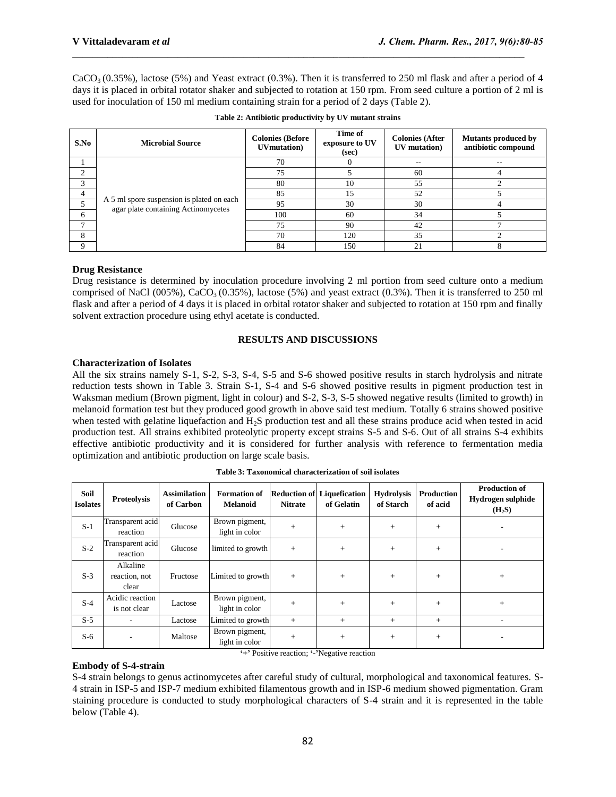$CaCO<sub>3</sub>(0.35%)$ , lactose (5%) and Yeast extract (0.3%). Then it is transferred to 250 ml flask and after a period of 4 days it is placed in orbital rotator shaker and subjected to rotation at 150 rpm. From seed culture a portion of 2 ml is used for inoculation of 150 ml medium containing strain for a period of 2 days (Table 2).

| S.No | <b>Microbial Source</b>                                                          | <b>Colonies (Before</b><br><b>UVmutation</b> ) | Time of<br>exposure to UV<br>(sec) | <b>Colonies (After</b><br>UV mutation) | <b>Mutants produced by</b><br>antibiotic compound |
|------|----------------------------------------------------------------------------------|------------------------------------------------|------------------------------------|----------------------------------------|---------------------------------------------------|
|      |                                                                                  | 70                                             |                                    | $- -$                                  | $- -$                                             |
|      |                                                                                  | 75                                             |                                    | 60                                     |                                                   |
|      | A 5 ml spore suspension is plated on each<br>agar plate containing Actinomycetes | 80                                             | 10                                 | 55                                     |                                                   |
|      |                                                                                  | 85                                             | 15                                 | 52                                     |                                                   |
|      |                                                                                  | 95                                             | 30                                 | 30                                     |                                                   |
| 6    |                                                                                  | 100                                            | 60                                 | 34                                     |                                                   |
|      |                                                                                  | 75                                             | 90                                 | 42                                     |                                                   |
| 8    |                                                                                  | 70                                             | 120                                | 35                                     |                                                   |
| Q    |                                                                                  | 84                                             | 150                                | 21                                     |                                                   |

| Table 2: Antibiotic productivity by UV mutant strains |  |  |
|-------------------------------------------------------|--|--|
|-------------------------------------------------------|--|--|

# **Drug Resistance**

Drug resistance is determined by inoculation procedure involving 2 ml portion from seed culture onto a medium comprised of NaCl (005%), CaCO<sub>3</sub> (0.35%), lactose (5%) and yeast extract (0.3%). Then it is transferred to 250 ml flask and after a period of 4 days it is placed in orbital rotator shaker and subjected to rotation at 150 rpm and finally solvent extraction procedure using ethyl acetate is conducted.

#### **RESULTS AND DISCUSSIONS**

#### **Characterization of Isolates**

All the six strains namely S-1, S-2, S-3, S-4, S-5 and S-6 showed positive results in starch hydrolysis and nitrate reduction tests shown in Table 3. Strain S-1, S-4 and S-6 showed positive results in pigment production test in Waksman medium (Brown pigment, light in colour) and S-2, S-3, S-5 showed negative results (limited to growth) in melanoid formation test but they produced good growth in above said test medium. Totally 6 strains showed positive when tested with gelatine liquefaction and H<sub>2</sub>S production test and all these strains produce acid when tested in acid production test. All strains exhibited proteolytic property except strains S-5 and S-6. Out of all strains S-4 exhibits effective antibiotic productivity and it is considered for further analysis with reference to fermentation media optimization and antibiotic production on large scale basis.

| Soil<br><b>Isolates</b> | <b>Proteolysis</b>                           | <b>Assimilation</b><br>of Carbon | <b>Formation of</b><br><b>Melanoid</b> | <b>Nitrate</b> | <b>Reduction of Liquefication</b><br>of Gelatin | <b>Hydrolysis</b><br>of Starch | Production<br>of acid | <b>Production of</b><br>Hydrogen sulphide<br>(H <sub>2</sub> S) |
|-------------------------|----------------------------------------------|----------------------------------|----------------------------------------|----------------|-------------------------------------------------|--------------------------------|-----------------------|-----------------------------------------------------------------|
| $S-1$                   | Transparent acid<br>reaction                 | Glucose                          | Brown pigment,<br>light in color       | $+$            | $+$                                             | $+$                            | $+$                   | ۰                                                               |
| $S-2$                   | Transparent acid<br>reaction                 | Glucose                          | limited to growth                      | $+$            | $+$                                             | $+$                            | $+$                   |                                                                 |
| $S-3$                   | Alkaline<br>reaction, not<br>clear           | Fructose                         | Limited to growth                      | $+$            | $+$                                             | $+$                            | $+$                   | $+$                                                             |
| $S-4$                   | Acidic reaction<br>is not clear              | Lactose                          | Brown pigment,<br>light in color       | $+$            | $+$                                             | $+$                            | $^{+}$                | $+$                                                             |
| $S-5$                   |                                              | Lactose                          | Limited to growth                      | $+$            | $+$                                             | $+$                            | $+$                   |                                                                 |
| $S-6$                   |                                              | Maltose                          | Brown pigment,<br>light in color       | $+$            | $+$                                             | $+$                            | $+$                   | ۰                                                               |
|                         | "+" Positive reaction; "-"Negative reaction" |                                  |                                        |                |                                                 |                                |                       |                                                                 |

#### **Embody of S-4-strain**

S-4 strain belongs to genus actinomycetes after careful study of cultural, morphological and taxonomical features. S-4 strain in ISP-5 and ISP-7 medium exhibited filamentous growth and in ISP-6 medium showed pigmentation. Gram staining procedure is conducted to study morphological characters of S-4 strain and it is represented in the table below (Table 4).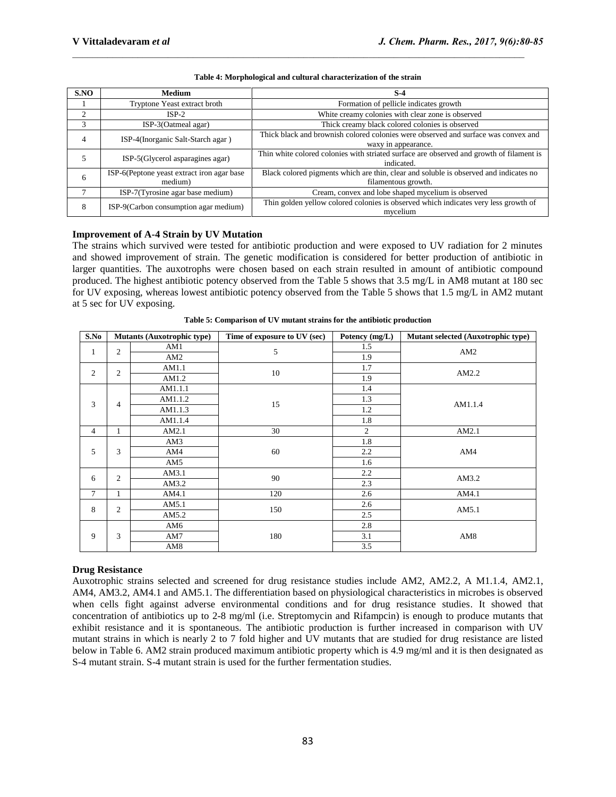| S.NO | <b>Medium</b>                                         | $S-4$                                                                                                        |  |  |  |
|------|-------------------------------------------------------|--------------------------------------------------------------------------------------------------------------|--|--|--|
|      | Tryptone Yeast extract broth                          | Formation of pellicle indicates growth                                                                       |  |  |  |
| ↑    | $ISP-2$                                               | White creamy colonies with clear zone is observed                                                            |  |  |  |
| 3    | ISP-3(Oatmeal agar)                                   | Thick creamy black colored colonies is observed                                                              |  |  |  |
| 4    | ISP-4(Inorganic Salt-Starch agar)                     | Thick black and brownish colored colonies were observed and surface was convex and<br>waxy in appearance.    |  |  |  |
|      | ISP-5(Glycerol asparagines agar)                      | Thin white colored colonies with striated surface are observed and growth of filament is<br>indicated.       |  |  |  |
| 6    | ISP-6(Peptone yeast extract iron agar base<br>medium) | Black colored pigments which are thin, clear and soluble is observed and indicates no<br>filamentous growth. |  |  |  |
|      | ISP-7(Tyrosine agar base medium)                      | Cream, convex and lobe shaped mycelium is observed                                                           |  |  |  |
| 8    | ISP-9(Carbon consumption agar medium)                 | Thin golden yellow colored colonies is observed which indicates very less growth of<br>mycelium              |  |  |  |

#### **Table 4: Morphological and cultural characterization of the strain**

# **Improvement of A-4 Strain by UV Mutation**

The strains which survived were tested for antibiotic production and were exposed to UV radiation for 2 minutes and showed improvement of strain. The genetic modification is considered for better production of antibiotic in larger quantities. The auxotrophs were chosen based on each strain resulted in amount of antibiotic compound produced. The highest antibiotic potency observed from the Table 5 shows that 3.5 mg/L in AM8 mutant at 180 sec for UV exposing, whereas lowest antibiotic potency observed from the Table 5 shows that 1.5 mg/L in AM2 mutant at 5 sec for UV exposing.

| S.No           | <b>Mutants (Auxotrophic type)</b> |         | Time of exposure to UV (sec) |                | Mutant selected (Auxotrophic type) |
|----------------|-----------------------------------|---------|------------------------------|----------------|------------------------------------|
| $\mathbf{1}$   | $\overline{c}$                    | AM1     | 5                            | 1.5            | AM2                                |
|                |                                   | AM2     |                              | 1.9            |                                    |
| $\overline{c}$ | $\mathbf{2}$                      | AM1.1   | 10                           | 1.7            | AM2.2                              |
|                |                                   | AM1.2   |                              | 1.9            |                                    |
|                |                                   | AM1.1.1 |                              | 1.4            |                                    |
| 3              | 4                                 | AM1.1.2 | 15                           | 1.3            | AM1.1.4                            |
|                |                                   | AM1.1.3 |                              | 1.2            |                                    |
|                |                                   | AM1.1.4 |                              | 1.8            |                                    |
| $\overline{4}$ | $\mathbf{1}$                      | AM2.1   | 30                           | $\overline{2}$ | AM2.1                              |
|                | 3                                 | AM3     |                              | 1.8            |                                    |
| 5              |                                   | AM4     | 60                           | 2.2            | AM4                                |
|                |                                   | AM5     |                              | 1.6            |                                    |
| 6              | 2                                 | AM3.1   | 90                           | 2.2            | AM3.2                              |
|                |                                   | AM3.2   |                              | 2.3            |                                    |
| $\tau$         | $\mathbf{1}$                      | AM4.1   | 120                          | 2.6            | AM4.1                              |
| 8              | 2                                 | AM5.1   | 150                          | 2.6            | AM5.1                              |
|                |                                   | AM5.2   |                              | 2.5            |                                    |
|                | 3                                 | AM6     |                              | 2.8            |                                    |
| 9              |                                   | AM7     | 180                          | 3.1            | AM <sub>8</sub>                    |
|                |                                   | AM8     |                              | 3.5            |                                    |

**Table 5: Comparison of UV mutant strains for the antibiotic production**

### **Drug Resistance**

Auxotrophic strains selected and screened for drug resistance studies include AM2, AM2.2, A M1.1.4, AM2.1, AM4, AM3.2, AM4.1 and AM5.1. The differentiation based on physiological characteristics in microbes is observed when cells fight against adverse environmental conditions and for drug resistance studies. It showed that concentration of antibiotics up to 2-8 mg/ml (i.e. Streptomycin and Rifampcin) is enough to produce mutants that exhibit resistance and it is spontaneous. The antibiotic production is further increased in comparison with UV mutant strains in which is nearly 2 to 7 fold higher and UV mutants that are studied for drug resistance are listed below in Table 6. AM2 strain produced maximum antibiotic property which is 4.9 mg/ml and it is then designated as S-4 mutant strain. S-4 mutant strain is used for the further fermentation studies.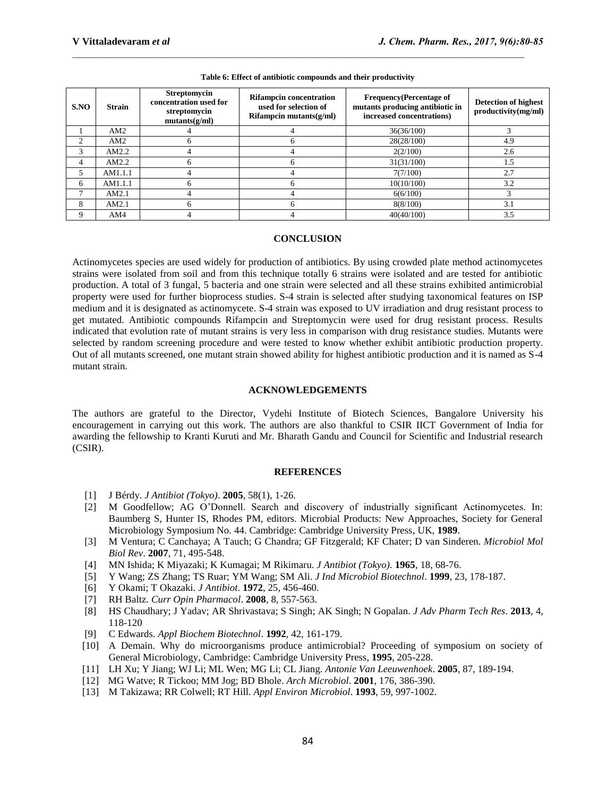| SNO | <b>Strain</b> | <b>Streptomycin</b><br>concentration used for<br>streptomycin<br>mutants(g/ml) | <b>Rifampcin concentration</b><br><b>Frequency</b> (Percentage of<br>mutants producing antibiotic in<br>used for selection of<br>increased concentrations)<br>$Rifampcin \, mutants(g/ml)$ |            | Detection of highest<br>productivity(mg/ml) |
|-----|---------------|--------------------------------------------------------------------------------|--------------------------------------------------------------------------------------------------------------------------------------------------------------------------------------------|------------|---------------------------------------------|
|     | AM2           |                                                                                |                                                                                                                                                                                            | 36(36/100) |                                             |
|     | AM2           |                                                                                |                                                                                                                                                                                            | 28(28/100) | 4.9                                         |
|     | AM2.2         |                                                                                |                                                                                                                                                                                            | 2(2/100)   | 2.6                                         |
| 4   | AM2.2         |                                                                                |                                                                                                                                                                                            | 31(31/100) | 1.5                                         |
|     | AM1.1.1       |                                                                                |                                                                                                                                                                                            | 7(7/100)   | 2.7                                         |
| 6   | AM1.1.1       |                                                                                |                                                                                                                                                                                            | 10(10/100) | 3.2                                         |
|     | AM2.1         |                                                                                |                                                                                                                                                                                            | 6(6/100)   |                                             |
| 8   | AM2.1         |                                                                                |                                                                                                                                                                                            | 8(8/100)   | 3.1                                         |
|     | AM4           |                                                                                |                                                                                                                                                                                            | 40(40/100) | 3.5                                         |

#### **Table 6: Effect of antibiotic compounds and their productivity**

#### **CONCLUSION**

Actinomycetes species are used widely for production of antibiotics. By using crowded plate method actinomycetes strains were isolated from soil and from this technique totally 6 strains were isolated and are tested for antibiotic production. A total of 3 fungal, 5 bacteria and one strain were selected and all these strains exhibited antimicrobial property were used for further bioprocess studies. S-4 strain is selected after studying taxonomical features on ISP medium and it is designated as actinomycete. S-4 strain was exposed to UV irradiation and drug resistant process to get mutated. Antibiotic compounds Rifampcin and Streptomycin were used for drug resistant process. Results indicated that evolution rate of mutant strains is very less in comparison with drug resistance studies. Mutants were selected by random screening procedure and were tested to know whether exhibit antibiotic production property. Out of all mutants screened, one mutant strain showed ability for highest antibiotic production and it is named as S-4 mutant strain.

#### **ACKNOWLEDGEMENTS**

The authors are grateful to the Director, Vydehi Institute of Biotech Sciences, Bangalore University his encouragement in carrying out this work. The authors are also thankful to CSIR IICT Government of India for awarding the fellowship to Kranti Kuruti and Mr. Bharath Gandu and Council for Scientific and Industrial research (CSIR).

#### **REFERENCES**

- [1] J Bérdy. *J Antibiot (Tokyo)*. **2005**, 58(1), 1-26.
- [2] M Goodfellow; AG O'Donnell. Search and discovery of industrially significant Actinomycetes. In: Baumberg S, Hunter IS, Rhodes PM, editors. Microbial Products: New Approaches, Society for General Microbiology Symposium No. 44. Cambridge: Cambridge University Press, UK, **1989**.
- [3] M Ventura; C Canchaya; A Tauch; G Chandra; GF Fitzgerald; KF Chater; D van Sinderen. *Microbiol Mol Biol Rev*. **2007**, 71, 495-548.
- [4] MN Ishida; K Miyazaki; K Kumagai; M Rikimaru. *J Antibiot (Tokyo)*. **1965**, 18, 68-76.
- [5] Y Wang; ZS Zhang; TS Ruar; YM Wang; SM Ali. *J Ind Microbiol Biotechnol*. **1999**, 23, 178-187.
- [6] Y Okami; T Okazaki. *J Antibiot*. **1972**, 25, 456-460.
- [7] RH Baltz. *Curr Opin Pharmacol*. **2008**, 8, 557-563.
- [8] HS Chaudhary; J Yadav; AR Shrivastava; S Singh; AK Singh; N Gopalan. *J Adv Pharm Tech Res*. **2013**, 4, 118-120
- [9] C Edwards. *Appl Biochem Biotechnol*. **1992**, 42, 161-179.
- [10] A Demain. Why do microorganisms produce antimicrobial? Proceeding of symposium on society of General Microbiology, Cambridge: Cambridge University Press, **1995**, 205-228.
- [11] LH Xu; Y Jiang; WJ Li; ML Wen; MG Li; CL Jiang. *Antonie Van Leeuwenhoek*. **2005**, 87, 189-194.
- [12] MG Watve; R Tickoo; MM Jog; BD Bhole. *Arch Microbiol*. **2001**, 176, 386-390.
- [13] M Takizawa; RR Colwell; RT Hill. *Appl Environ Microbiol*. **1993**, 59, 997-1002.